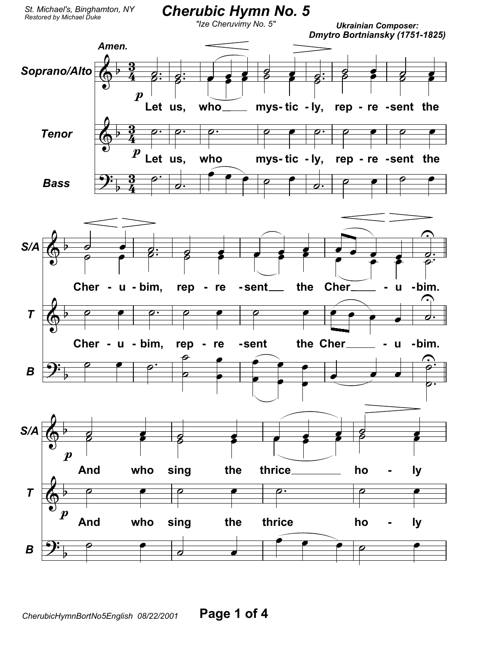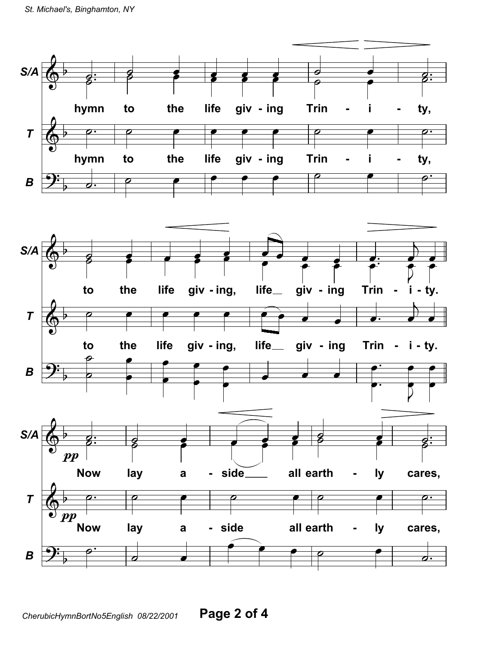

Page 2 of 4 CherubicHymnBortNo5English 08/22/2001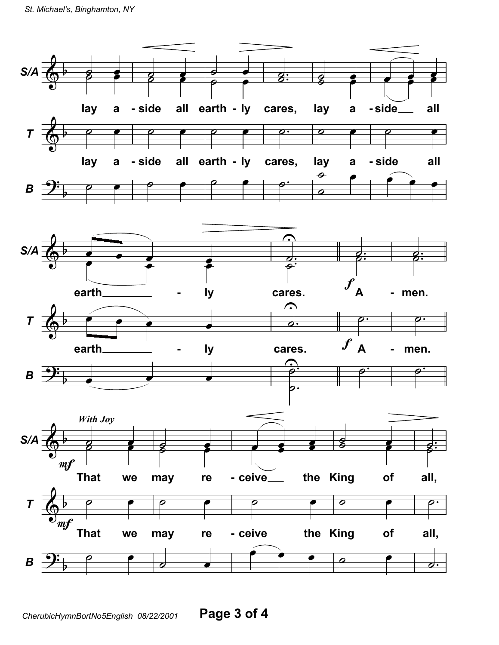